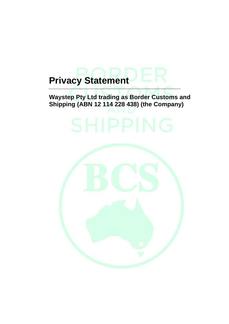# **Privacy Statement**

## **Waystep Pty Ltd trading as Border Customs and Shipping (ABN 12 114 228 438) (the Company)**

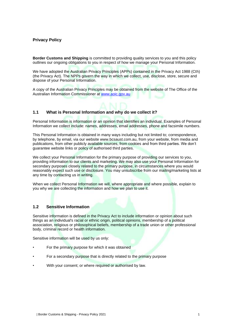### **Privacy Policy**

**Border Customs and Shipping** is committed to providing quality services to you and this policy outlines our ongoing obligations to you in respect of how we manage your Personal Information.

We have adopted the Australian Privacy Principles (APPs) contained in the Privacy Act 1988 (Cth) (the Privacy Act). The NPPs govern the way in which we collect, use, disclose, store, secure and dispose of your Personal Information.

A copy of the Australian Privacy Principles may be obtained from the website of The Office of the Australian Information Commissioner at [www.aoic.gov.au](http://www.aoic.gov.au/)

#### **1.1 What is Personal Information and why do we collect it?**

Personal Information is information or an opinion that identifies an individual. Examples of Personal Information we collect include: names, addresses, email addresses, phone and facsimile numbers.

This Personal Information is obtained in many ways including but not limited to; correspondence, by telephone, by email, via our website www.bcsaust.com.au, from your website, from media and publications, from other publicly available sources, from cookies and from third parties. We don't guarantee website links or policy of authorised third parties.

We collect your Personal Information for the primary purpose of providing our services to you, providing information to our clients and marketing. We may also use your Personal Information for secondary purposes closely related to the primary purpose, in circumstances where you would reasonably expect such use or disclosure. You may unsubscribe from our mailing/marketing lists at any time by contacting us in writing.

When we collect Personal Information we will, where appropriate and where possible, explain to you why we are collecting the information and how we plan to use it.

#### **1.2 Sensitive Information**

Sensitive information is defined in the Privacy Act to include information or opinion about such things as an individual's racial or ethnic origin, political opinions, membership of a political association, religious or philosophical beliefs, membership of a trade union or other professional body, criminal record or health information.

Sensitive information will be used by us only:

- For the primary purpose for which it was obtained
- For a secondary purpose that is directly related to the primary purpose
- With your consent; or where required or authorised by law.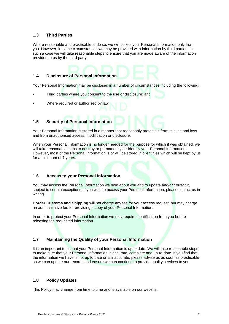#### **1.3 Third Parties**

Where reasonable and practicable to do so, we will collect your Personal Information only from you. However, in some circumstances we may be provided with information by third parties. In such a case we will take reasonable steps to ensure that you are made aware of the information provided to us by the third party.

#### **1.4 Disclosure of Personal Information**

Your Personal Information may be disclosed in a number of circumstances including the following:

- Third parties where you consent to the use or disclosure; and
- Where required or authorised by law.

#### **1.5 Security of Personal Information**

Your Personal Information is stored in a manner that reasonably protects it from misuse and loss and from unauthorised access, modification or disclosure.

When your Personal Information is no longer needed for the purpose for which it was obtained, we will take reasonable steps to destroy or permanently de-identify your Personal Information. However, most of the Personal Information is or will be stored in client files which will be kept by us for a minimum of 7 years.

#### **1.6 Access to your Personal Information**

You may access the Personal Information we hold about you and to update and/or correct it, subject to certain exceptions. If you wish to access your Personal Information, please contact us in writing.

**Border Customs and Shipping** will not charge any fee for your access request, but may charge an administrative fee for providing a copy of your Personal Information.

In order to protect your Personal Information we may require identification from you before releasing the requested information.

#### **1.7 Maintaining the Quality of your Personal Information**

It is an important to us that your Personal Information is up to date. We will take reasonable steps to make sure that your Personal Information is accurate, complete and up-to-date. If you find that the information we have is not up to date or is inaccurate, please advise us as soon as practicable so we can update our records and ensure we can continue to provide quality services to you.

#### **1.8 Policy Updates**

This Policy may change from time to time and is available on our website.